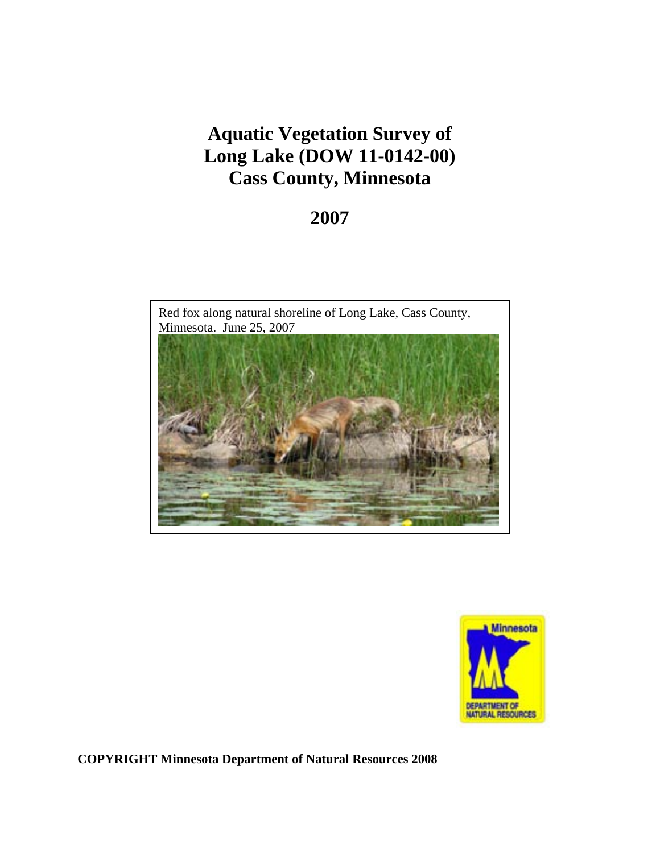# **Aquatic Vegetation Survey of Long Lake (DOW 11-0142-00) Cass County, Minnesota**

# **2007**





**COPYRIGHT Minnesota Department of Natural Resources 2008**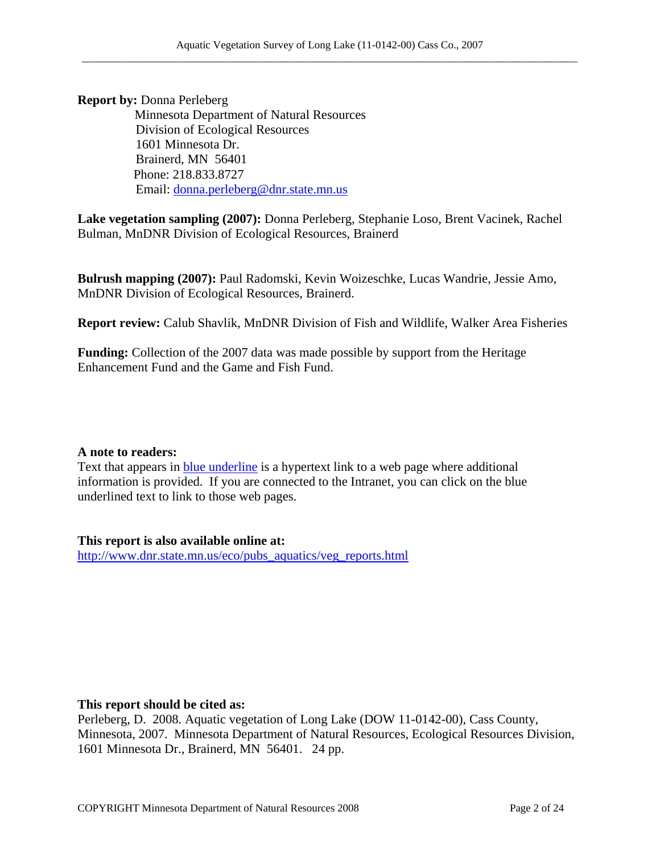**Report by:** Donna Perleberg

 Minnesota Department of Natural Resources Division of Ecological Resources 1601 Minnesota Dr. Brainerd, MN 56401 Phone: 218.833.8727 Email: donna.perleberg@dnr.state.mn.us

**Lake vegetation sampling (2007):** Donna Perleberg, Stephanie Loso, Brent Vacinek, Rachel Bulman, MnDNR Division of Ecological Resources, Brainerd

**Bulrush mapping (2007):** Paul Radomski, Kevin Woizeschke, Lucas Wandrie, Jessie Amo, MnDNR Division of Ecological Resources, Brainerd.

**Report review:** Calub Shavlik, MnDNR Division of Fish and Wildlife, Walker Area Fisheries

**Funding:** Collection of the 2007 data was made possible by support from the Heritage Enhancement Fund and the Game and Fish Fund.

#### **A note to readers:**

Text that appears in blue underline is a hypertext link to a web page where additional information is provided. If you are connected to the Intranet, you can click on the blue underlined text to link to those web pages.

**This report is also available online at:** 

http://www.dnr.state.mn.us/eco/pubs\_aquatics/veg\_reports.html

#### **This report should be cited as:**

Perleberg, D. 2008. Aquatic vegetation of Long Lake (DOW 11-0142-00), Cass County, Minnesota, 2007. Minnesota Department of Natural Resources, Ecological Resources Division, 1601 Minnesota Dr., Brainerd, MN 56401. 24 pp.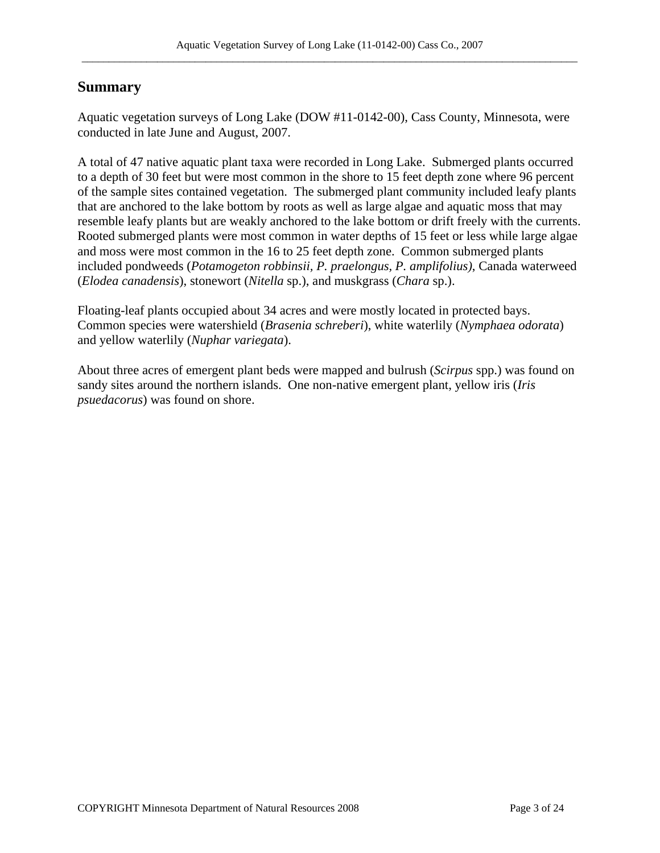## **Summary**

Aquatic vegetation surveys of Long Lake (DOW #11-0142-00), Cass County, Minnesota, were conducted in late June and August, 2007.

A total of 47 native aquatic plant taxa were recorded in Long Lake. Submerged plants occurred to a depth of 30 feet but were most common in the shore to 15 feet depth zone where 96 percent of the sample sites contained vegetation. The submerged plant community included leafy plants that are anchored to the lake bottom by roots as well as large algae and aquatic moss that may resemble leafy plants but are weakly anchored to the lake bottom or drift freely with the currents. Rooted submerged plants were most common in water depths of 15 feet or less while large algae and moss were most common in the 16 to 25 feet depth zone. Common submerged plants included pondweeds (*Potamogeton robbinsii, P. praelongus, P. amplifolius)*, Canada waterweed (*Elodea canadensis*), stonewort (*Nitella* sp.), and muskgrass (*Chara* sp.).

Floating-leaf plants occupied about 34 acres and were mostly located in protected bays. Common species were watershield (*Brasenia schreberi*), white waterlily (*Nymphaea odorata*) and yellow waterlily (*Nuphar variegata*).

About three acres of emergent plant beds were mapped and bulrush (*Scirpus* spp.) was found on sandy sites around the northern islands. One non-native emergent plant, yellow iris (*Iris psuedacorus*) was found on shore.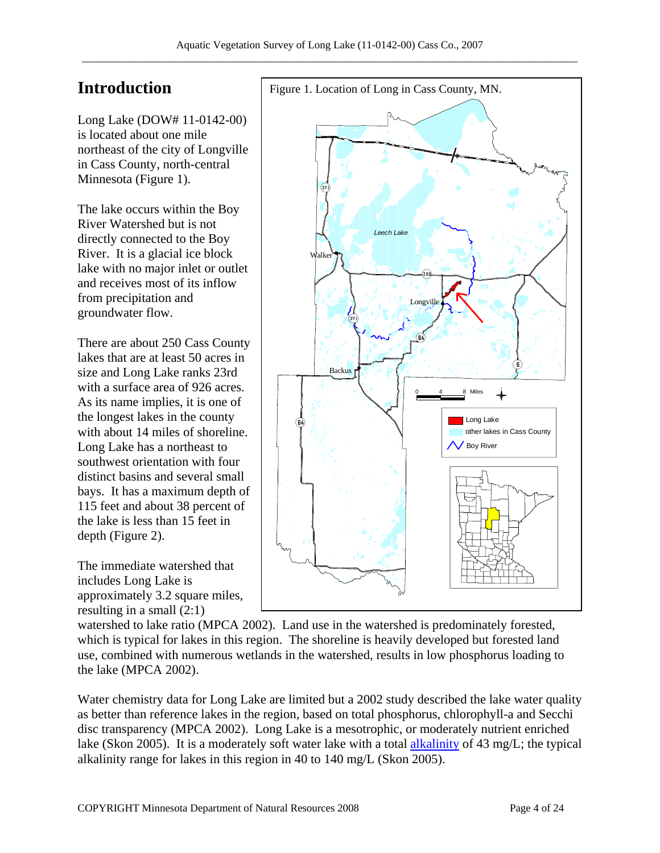# **Introduction**

Long Lake (DOW# 11-0142-00) is located about one mile northeast of the city of Longville in Cass County, north-central Minnesota (Figure 1).

The lake occurs within the Boy River Watershed but is not directly connected to the Boy River. It is a glacial ice block lake with no major inlet or outlet and receives most of its inflow from precipitation and groundwater flow.

There are about 250 Cass County lakes that are at least 50 acres in size and Long Lake ranks 23rd with a surface area of 926 acres. As its name implies, it is one of the longest lakes in the county with about 14 miles of shoreline. Long Lake has a northeast to southwest orientation with four distinct basins and several small bays. It has a maximum depth of 115 feet and about 38 percent of the lake is less than 15 feet in depth (Figure 2).

The immediate watershed that includes Long Lake is approximately 3.2 square miles, resulting in a small (2:1)



watershed to lake ratio (MPCA 2002). Land use in the watershed is predominately forested, which is typical for lakes in this region. The shoreline is heavily developed but forested land use, combined with numerous wetlands in the watershed, results in low phosphorus loading to the lake (MPCA 2002).

Water chemistry data for Long Lake are limited but a 2002 study described the lake water quality as better than reference lakes in the region, based on total phosphorus, chlorophyll-a and Secchi disc transparency (MPCA 2002). Long Lake is a mesotrophic, or moderately nutrient enriched lake (Skon 2005). It is a moderately soft water lake with a total alkalinity of 43 mg/L; the typical alkalinity range for lakes in this region in 40 to 140 mg/L (Skon 2005).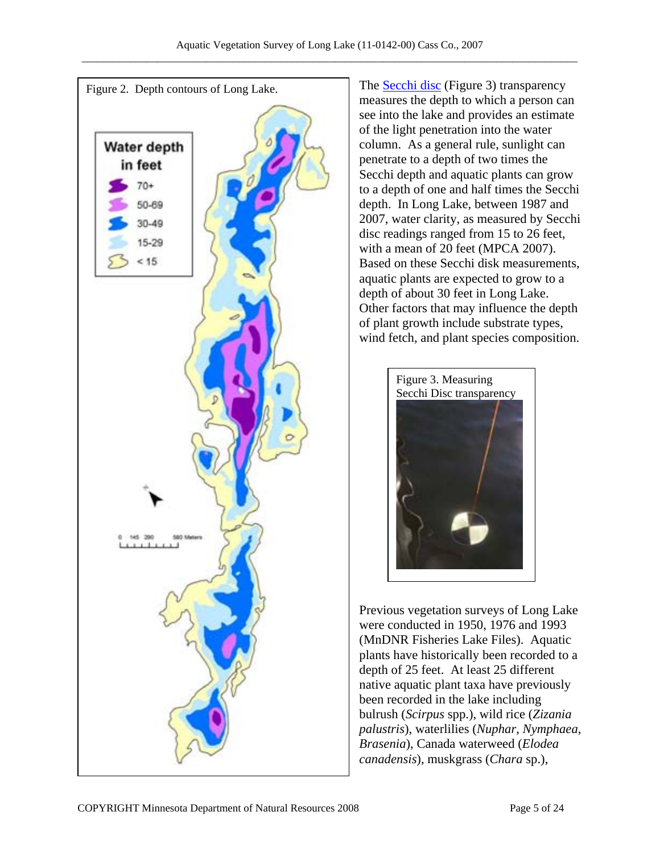

The **Secchi disc** (Figure 3) transparency measures the depth to which a person can see into the lake and provides an estimate of the light penetration into the water column. As a general rule, sunlight can penetrate to a depth of two times the Secchi depth and aquatic plants can grow to a depth of one and half times the Secchi depth. In Long Lake, between 1987 and 2007, water clarity, as measured by Secchi disc readings ranged from 15 to 26 feet, with a mean of 20 feet (MPCA 2007). Based on these Secchi disk measurements, aquatic plants are expected to grow to a depth of about 30 feet in Long Lake. Other factors that may influence the depth of plant growth include substrate types, wind fetch, and plant species composition.



Previous vegetation surveys of Long Lake were conducted in 1950, 1976 and 1993 (MnDNR Fisheries Lake Files). Aquatic plants have historically been recorded to a depth of 25 feet. At least 25 different native aquatic plant taxa have previously been recorded in the lake including bulrush (*Scirpus* spp.), wild rice (*Zizania palustris*), waterlilies (*Nuphar*, *Nymphaea*, *Brasenia*), Canada waterweed (*Elodea canadensis*), muskgrass (*Chara* sp.),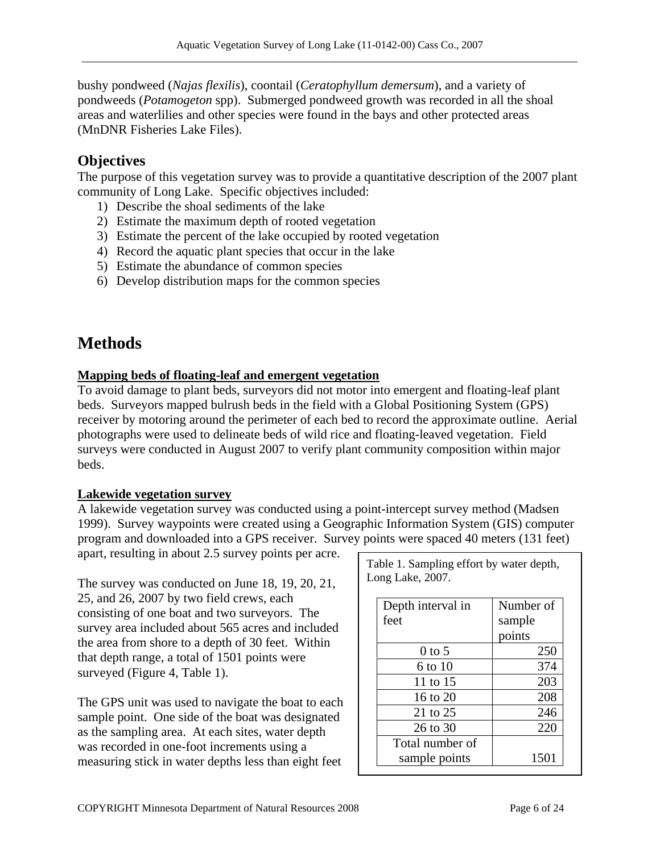bushy pondweed (*Najas flexilis*), coontail (*Ceratophyllum demersum*), and a variety of pondweeds (*Potamogeton* spp). Submerged pondweed growth was recorded in all the shoal areas and waterlilies and other species were found in the bays and other protected areas (MnDNR Fisheries Lake Files).

## **Objectives**

The purpose of this vegetation survey was to provide a quantitative description of the 2007 plant community of Long Lake. Specific objectives included:

- 1) Describe the shoal sediments of the lake
- 2) Estimate the maximum depth of rooted vegetation
- 3) Estimate the percent of the lake occupied by rooted vegetation
- 4) Record the aquatic plant species that occur in the lake
- 5) Estimate the abundance of common species
- 6) Develop distribution maps for the common species

# **Methods**

### **Mapping beds of floating-leaf and emergent vegetation**

To avoid damage to plant beds, surveyors did not motor into emergent and floating-leaf plant beds. Surveyors mapped bulrush beds in the field with a Global Positioning System (GPS) receiver by motoring around the perimeter of each bed to record the approximate outline. Aerial photographs were used to delineate beds of wild rice and floating-leaved vegetation. Field surveys were conducted in August 2007 to verify plant community composition within major beds.

#### **Lakewide vegetation survey**

A lakewide vegetation survey was conducted using a point-intercept survey method (Madsen 1999). Survey waypoints were created using a Geographic Information System (GIS) computer program and downloaded into a GPS receiver. Survey points were spaced 40 meters (131 feet)

apart, resulting in about 2.5 survey points per acre.

The survey was conducted on June 18, 19, 20, 21, 25, and 26, 2007 by two field crews, each consisting of one boat and two surveyors. The survey area included about 565 acres and included the area from shore to a depth of 30 feet. Within that depth range, a total of 1501 points were surveyed (Figure 4, Table 1).

The GPS unit was used to navigate the boat to each sample point. One side of the boat was designated as the sampling area. At each sites, water depth was recorded in one-foot increments using a measuring stick in water depths less than eight feet

| Table 1. Sampling effort by water depth,<br>Long Lake, 2007. |           |
|--------------------------------------------------------------|-----------|
| Depth interval in                                            | Number of |
| feet                                                         | sample    |
|                                                              | points    |
| $0$ to 5                                                     | 250       |
| 6 to 10                                                      | 374       |
| 11 to 15                                                     | 203       |
| 16 to $20$                                                   | 208       |
| 21 to 25                                                     | 246       |
| 26 to 30                                                     | 220       |
| Total number of                                              |           |
| sample points                                                | 1501      |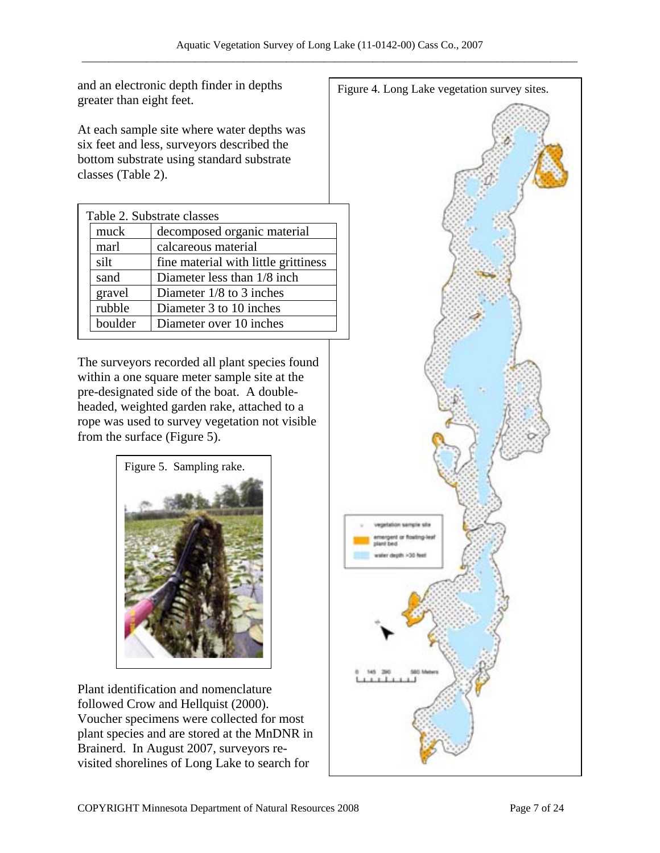greater than eight feet.

At each sample site where water depths was six feet and less, surveyors described the bottom substrate using standard substrate classes (Table 2).

|         | Table 2. Substrate classes           |
|---------|--------------------------------------|
| muck    | decomposed organic material          |
| marl    | calcareous material                  |
| silt    | fine material with little grittiness |
| sand    | Diameter less than 1/8 inch.         |
| gravel  | Diameter $1/8$ to 3 inches           |
| rubble  | Diameter 3 to 10 inches              |
| boulder | Diameter over 10 inches              |

The surveyors recorded all plant species found within a one square meter sample site at the pre-designated side of the boat. A doubleheaded, weighted garden rake, attached to a rope was used to survey vegetation not visible from the surface (Figure 5).



Plant identification and nomenclature followed Crow and Hellquist (2000). Voucher specimens were collected for most plant species and are stored at the MnDNR in Brainerd. In August 2007, surveyors revisited shorelines of Long Lake to search for

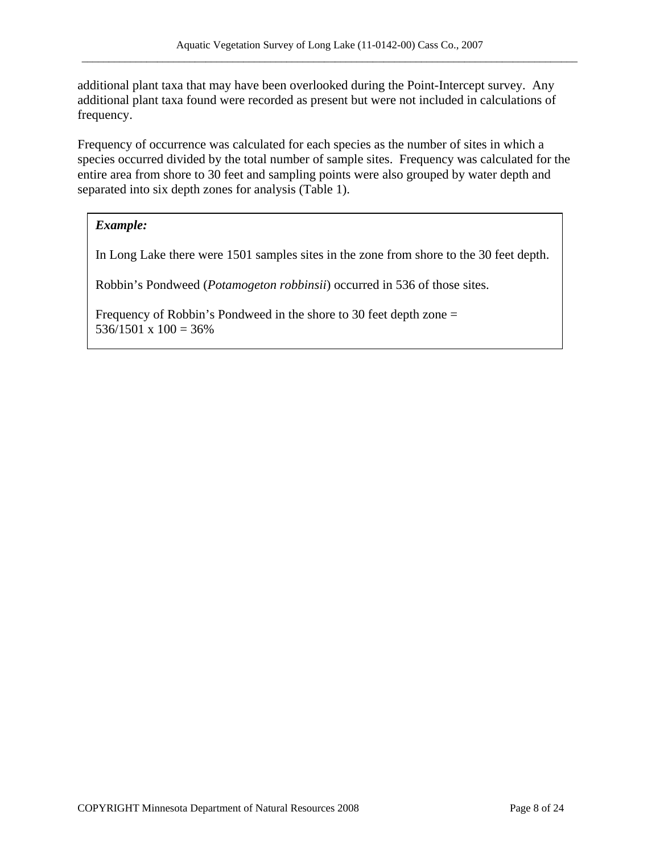additional plant taxa that may have been overlooked during the Point-Intercept survey. Any additional plant taxa found were recorded as present but were not included in calculations of frequency.

Frequency of occurrence was calculated for each species as the number of sites in which a species occurred divided by the total number of sample sites. Frequency was calculated for the entire area from shore to 30 feet and sampling points were also grouped by water depth and separated into six depth zones for analysis (Table 1).

#### *Example:*

In Long Lake there were 1501 samples sites in the zone from shore to the 30 feet depth.

Robbin's Pondweed (*Potamogeton robbinsii*) occurred in 536 of those sites.

Frequency of Robbin's Pondweed in the shore to 30 feet depth zone =  $536/1501 \times 100 = 36\%$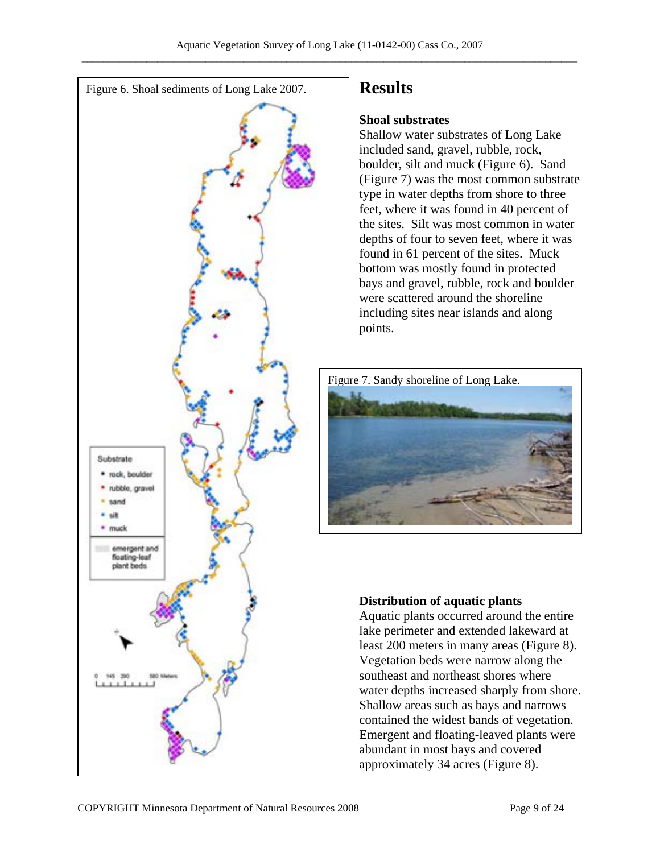

# **Results**

### **Shoal substrates**

Shallow water substrates of Long Lake included sand, gravel, rubble, rock, boulder, silt and muck (Figure 6). Sand (Figure 7) was the most common substrate type in water depths from shore to three feet, where it was found in 40 percent of the sites. Silt was most common in water depths of four to seven feet, where it was found in 61 percent of the sites. Muck bottom was mostly found in protected bays and gravel, rubble, rock and boulder were scattered around the shoreline including sites near islands and along points.



# **Distribution of aquatic plants**

Aquatic plants occurred around the entire lake perimeter and extended lakeward at least 200 meters in many areas (Figure 8). Vegetation beds were narrow along the southeast and northeast shores where water depths increased sharply from shore. Shallow areas such as bays and narrows contained the widest bands of vegetation. Emergent and floating-leaved plants were abundant in most bays and covered approximately 34 acres (Figure 8).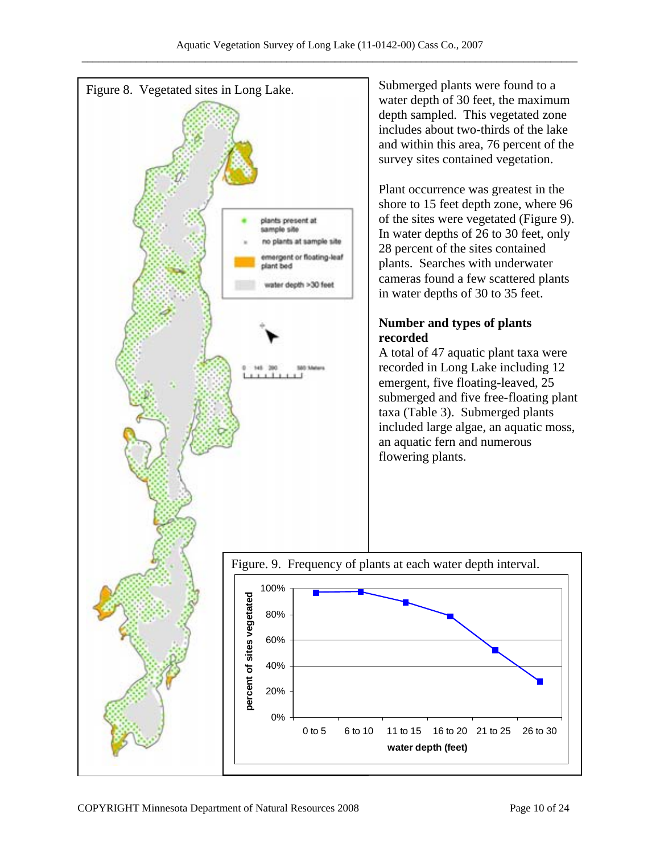

Submerged plants were found to a water depth of 30 feet, the maximum depth sampled. This vegetated zone includes about two-thirds of the lake and within this area, 76 percent of the survey sites contained vegetation.

Plant occurrence was greatest in the shore to 15 feet depth zone, where 96 of the sites were vegetated (Figure 9). In water depths of 26 to 30 feet, only 28 percent of the sites contained plants. Searches with underwater cameras found a few scattered plants in water depths of 30 to 35 feet.

# **Number and types of plants**

A total of 47 aquatic plant taxa were recorded in Long Lake including 12 emergent, five floating-leaved, 25 submerged and five free-floating plant taxa (Table 3). Submerged plants included large algae, an aquatic moss, an aquatic fern and numerous flowering plants.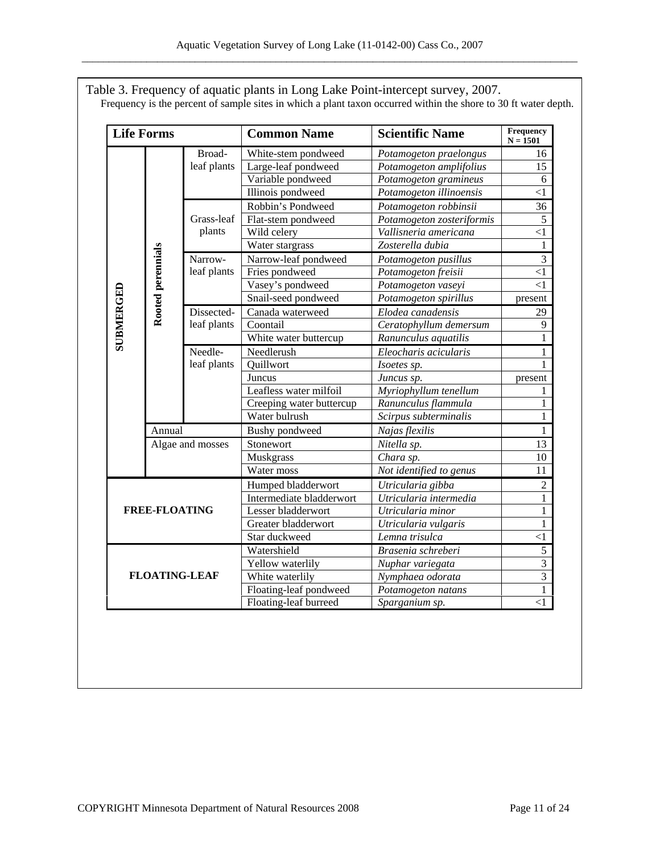Table 3. Frequency of aquatic plants in Long Lake Point-intercept survey, 2007. Frequency is the percent of sample sites in which a plant taxon occurred within the shore to 30 ft water depth.

|           | <b>Life Forms</b>    |                      | <b>Common Name</b>                          | <b>Scientific Name</b>    | Frequency<br>$N = 1501$ |  |
|-----------|----------------------|----------------------|---------------------------------------------|---------------------------|-------------------------|--|
|           |                      | Broad-               | White-stem pondweed                         | Potamogeton praelongus    | 16                      |  |
|           |                      | leaf plants          | Large-leaf pondweed                         | Potamogeton amplifolius   | 15                      |  |
|           |                      |                      | Variable pondweed                           | Potamogeton gramineus     | 6                       |  |
|           |                      |                      | <b>Illinois</b> pondweed                    | Potamogeton illinoensis   | $<$ 1                   |  |
|           |                      |                      | Robbin's Pondweed                           | Potamogeton robbinsii     | 36                      |  |
|           |                      | Grass-leaf           | Flat-stem pondweed                          | Potamogeton zosteriformis | 5                       |  |
|           |                      | plants               | Wild celery<br>Vallisneria americana        |                           | <1                      |  |
|           |                      |                      | Water stargrass                             | Zosterella dubia          | 1                       |  |
|           |                      | Narrow-              | Narrow-leaf pondweed                        | Potamogeton pusillus      | 3                       |  |
|           |                      | leaf plants          | Fries pondweed<br>Potamogeton freisii       |                           | $<$ 1                   |  |
|           |                      |                      | Vasey's pondweed<br>Potamogeton vaseyi      |                           | $<$ 1                   |  |
|           | Rooted perennials    |                      | Snail-seed pondweed                         | Potamogeton spirillus     | present                 |  |
| SUBMERGED |                      | Dissected-           | Canada waterweed                            | Elodea canadensis         | 29                      |  |
|           |                      | leaf plants          | Coontail                                    | Ceratophyllum demersum    |                         |  |
|           |                      |                      | White water buttercup                       | Ranunculus aquatilis      |                         |  |
|           |                      | Needle-              | Needlerush                                  |                           |                         |  |
|           |                      | leaf plants          | Quillwort                                   | Isoetes sp.               |                         |  |
|           |                      |                      | Juncus                                      | Juncus sp.                | present                 |  |
|           |                      |                      | Leafless water milfoil                      | Myriophyllum tenellum     |                         |  |
|           |                      |                      | Creeping water buttercup                    | Ranunculus flammula       | 1                       |  |
|           |                      |                      | Water bulrush                               | Scirpus subterminalis     |                         |  |
|           | Annual               |                      | <b>Bushy</b> pondweed                       | Najas flexilis            | 1                       |  |
|           | Algae and mosses     |                      | Stonewort                                   | Nitella sp.               | 13                      |  |
|           |                      |                      | Muskgrass                                   | Chara sp.                 | 10                      |  |
|           |                      |                      | Water moss                                  | Not identified to genus   | 11                      |  |
|           |                      |                      | Humped bladderwort                          | Utricularia gibba         | 2                       |  |
|           |                      |                      | Intermediate bladderwort                    | Utricularia intermedia    | 1                       |  |
|           | <b>FREE-FLOATING</b> |                      | Lesser bladderwort                          | Utricularia minor         | 1                       |  |
|           |                      |                      | Greater bladderwort<br>Utricularia vulgaris |                           | 1                       |  |
|           |                      |                      | Star duckweed                               | Lemna trisulca            | $\leq$ 1                |  |
|           |                      |                      | Watershield                                 | Brasenia schreberi        | 5                       |  |
|           |                      |                      | Yellow waterlily                            | Nuphar variegata          | $\overline{3}$          |  |
|           |                      | <b>FLOATING-LEAF</b> | White waterlily                             | Nymphaea odorata          | 3                       |  |
|           |                      |                      | Floating-leaf pondweed                      | Potamogeton natans        |                         |  |
|           |                      |                      | Floating-leaf burreed                       | Sparganium sp.            | $<$ $\!1$               |  |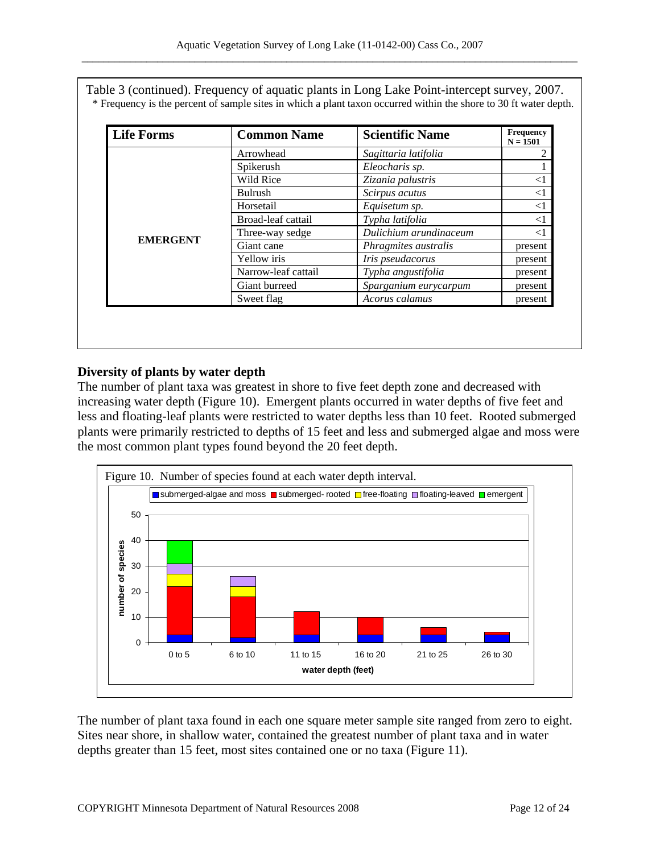| Table 3 (continued). Frequency of aquatic plants in Long Lake Point-intercept survey, 2007.                       |  |  |                       |  |
|-------------------------------------------------------------------------------------------------------------------|--|--|-----------------------|--|
| * Frequency is the percent of sample sites in which a plant taxon occurred within the shore to 30 ft water depth. |  |  |                       |  |
|                                                                                                                   |  |  |                       |  |
| $\mathbf{r}$ is $\mathbf{r}$                                                                                      |  |  | $F_{\text{nonnonon}}$ |  |

| <b>Life Forms</b> | <b>Common Name</b>  | <b>Scientific Name</b> | <b>Frequency</b><br>$N = 1501$ |  |
|-------------------|---------------------|------------------------|--------------------------------|--|
| <b>EMERGENT</b>   | Arrowhead           | Sagittaria latifolia   | ∍                              |  |
|                   | Spikerush           | Eleocharis sp.         |                                |  |
|                   | Wild Rice           | Zizania palustris      |                                |  |
|                   | <b>Bulrush</b>      | Scirpus acutus         | $\leq$ 1                       |  |
|                   | Horsetail           | Equisetum sp.          | $\leq$ 1                       |  |
|                   | Broad-leaf cattail  | Typha latifolia        | $\leq$ 1                       |  |
|                   | Three-way sedge     | Dulichium arundinaceum | $\leq$ 1                       |  |
|                   | Giant cane          | Phragmites australis   | present                        |  |
|                   | Yellow iris         | Iris pseudacorus       | present                        |  |
|                   | Narrow-leaf cattail | Typha angustifolia     | present                        |  |
|                   | Giant burreed       | Sparganium eurycarpum  | present                        |  |
|                   | Sweet flag          | Acorus calamus         | present                        |  |

#### **Diversity of plants by water depth**

The number of plant taxa was greatest in shore to five feet depth zone and decreased with increasing water depth (Figure 10). Emergent plants occurred in water depths of five feet and less and floating-leaf plants were restricted to water depths less than 10 feet. Rooted submerged plants were primarily restricted to depths of 15 feet and less and submerged algae and moss were the most common plant types found beyond the 20 feet depth.



The number of plant taxa found in each one square meter sample site ranged from zero to eight. Sites near shore, in shallow water, contained the greatest number of plant taxa and in water depths greater than 15 feet, most sites contained one or no taxa (Figure 11).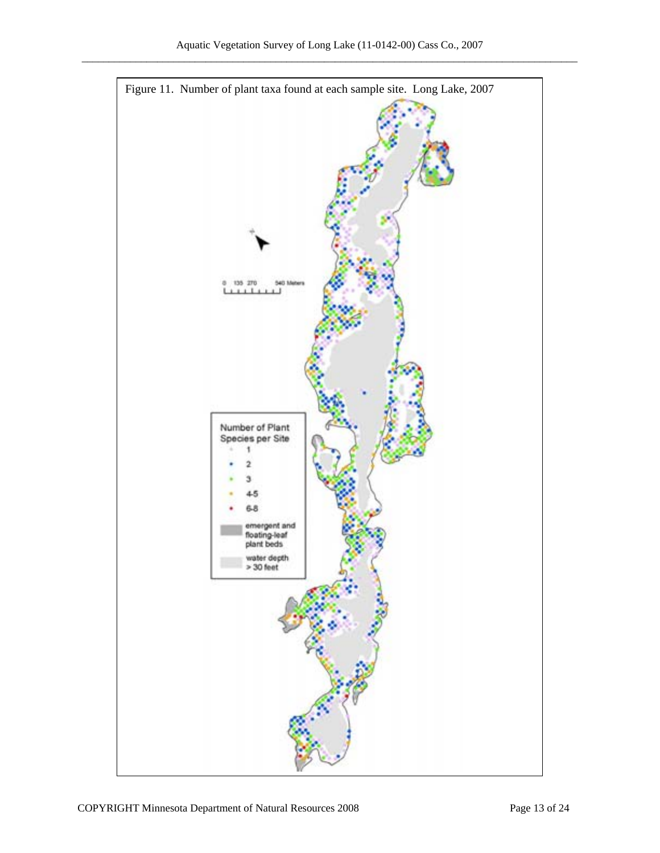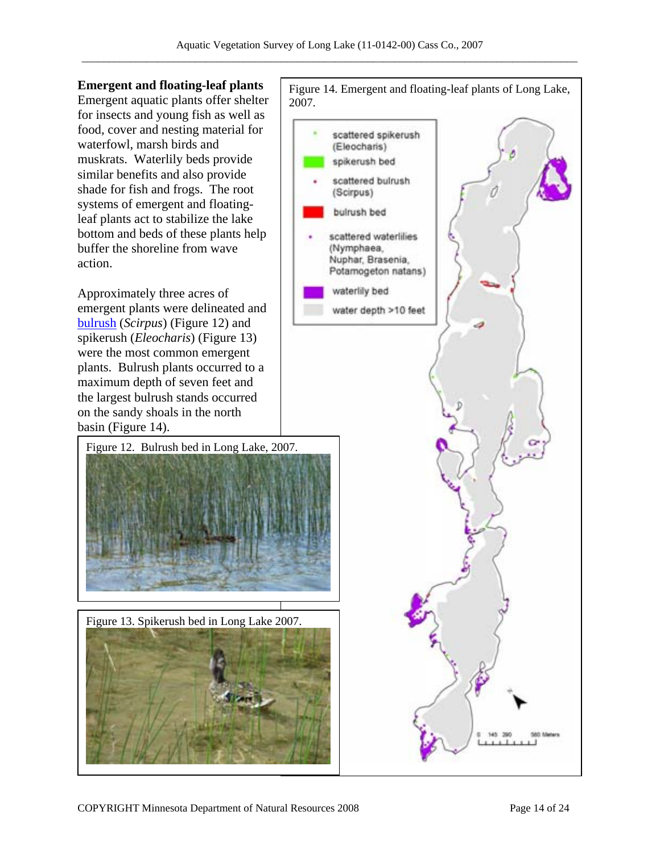#### **Emergent and floating-leaf plants**

Emergent aquatic plants offer shelter for insects and young fish as well as food, cover and nesting material for waterfowl, marsh birds and muskrats. Waterlily beds provide similar benefits and also provide shade for fish and frogs. The root systems of emergent and floatingleaf plants act to stabilize the lake bottom and beds of these plants help buffer the shoreline from wave action.

Approximately three acres of emergent plants were delineated and bulrush (*Scirpus*) (Figure 12) and spikerush (*Eleocharis*) (Figure 13) were the most common emergent plants. Bulrush plants occurred to a maximum depth of seven feet and the largest bulrush stands occurred on the sandy shoals in the north basin (Figure 14).





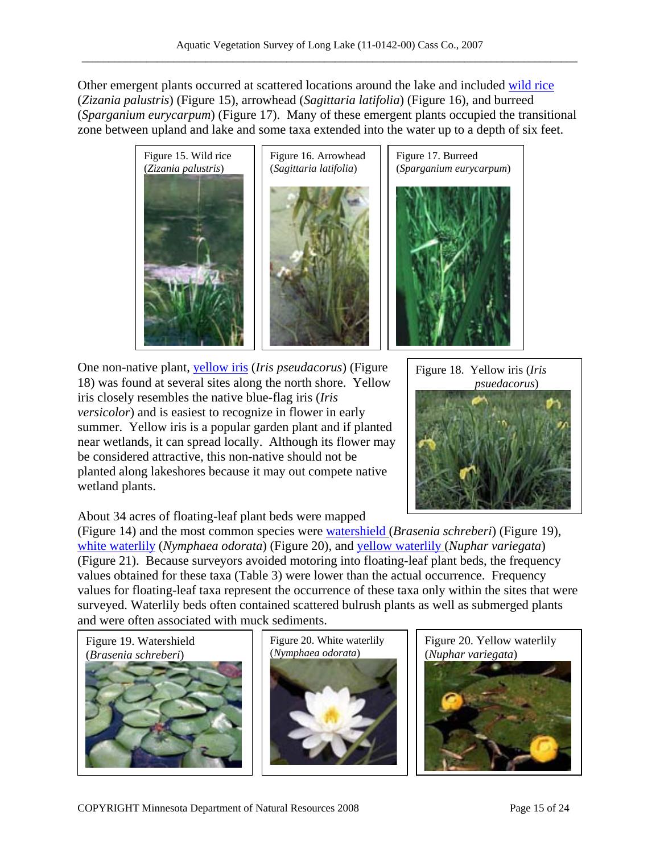Other emergent plants occurred at scattered locations around the lake and included wild rice (*Zizania palustris*) (Figure 15), arrowhead (*Sagittaria latifolia*) (Figure 16), and burreed (*Sparganium eurycarpum*) (Figure 17). Many of these emergent plants occupied the transitional zone between upland and lake and some taxa extended into the water up to a depth of six feet.



One non-native plant, *yellow iris (Iris pseudacorus)* (Figure 18) was found at several sites along the north shore. Yellow iris closely resembles the native blue-flag iris (*Iris versicolor*) and is easiest to recognize in flower in early summer. Yellow iris is a popular garden plant and if planted near wetlands, it can spread locally. Although its flower may be considered attractive, this non-native should not be planted along lakeshores because it may out compete native wetland plants.



About 34 acres of floating-leaf plant beds were mapped

(Figure 14) and the most common species were watershield (*Brasenia schreberi*) (Figure 19), white waterlily (*Nymphaea odorata*) (Figure 20), and yellow waterlily (*Nuphar variegata*) (Figure 21). Because surveyors avoided motoring into floating-leaf plant beds, the frequency values obtained for these taxa (Table 3) were lower than the actual occurrence. Frequency values for floating-leaf taxa represent the occurrence of these taxa only within the sites that were surveyed. Waterlily beds often contained scattered bulrush plants as well as submerged plants and were often associated with muck sediments.





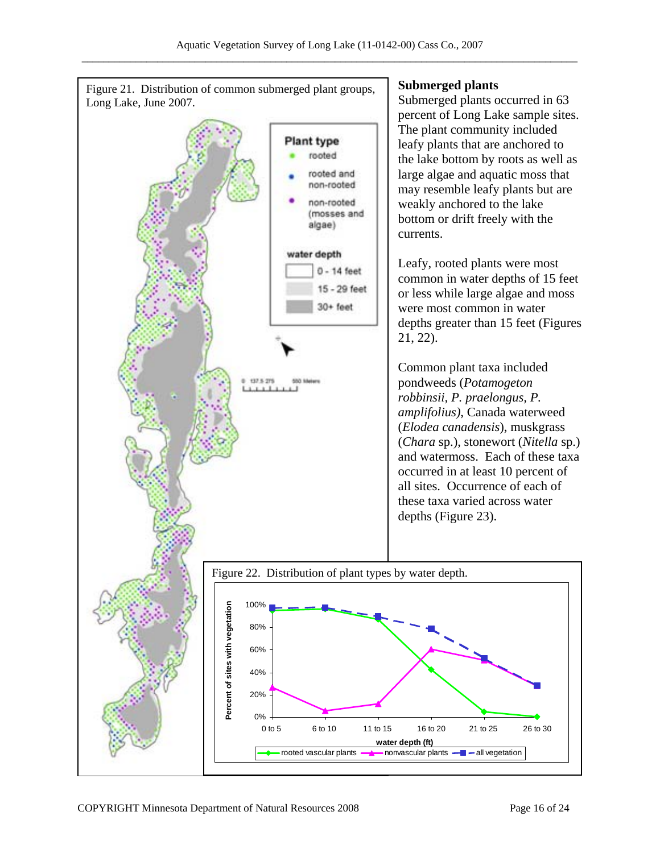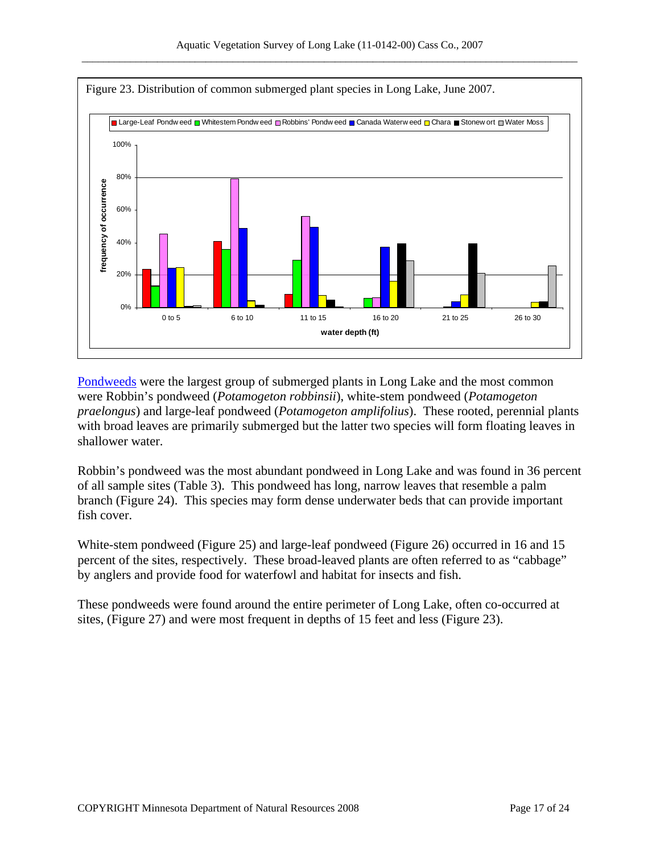

Pondweeds were the largest group of submerged plants in Long Lake and the most common were Robbin's pondweed (*Potamogeton robbinsii*), white-stem pondweed (*Potamogeton praelongus*) and large-leaf pondweed (*Potamogeton amplifolius*). These rooted, perennial plants with broad leaves are primarily submerged but the latter two species will form floating leaves in shallower water.

Robbin's pondweed was the most abundant pondweed in Long Lake and was found in 36 percent of all sample sites (Table 3). This pondweed has long, narrow leaves that resemble a palm branch (Figure 24). This species may form dense underwater beds that can provide important fish cover.

White-stem pondweed (Figure 25) and large-leaf pondweed (Figure 26) occurred in 16 and 15 percent of the sites, respectively. These broad-leaved plants are often referred to as "cabbage" by anglers and provide food for waterfowl and habitat for insects and fish.

These pondweeds were found around the entire perimeter of Long Lake, often co-occurred at sites, (Figure 27) and were most frequent in depths of 15 feet and less (Figure 23).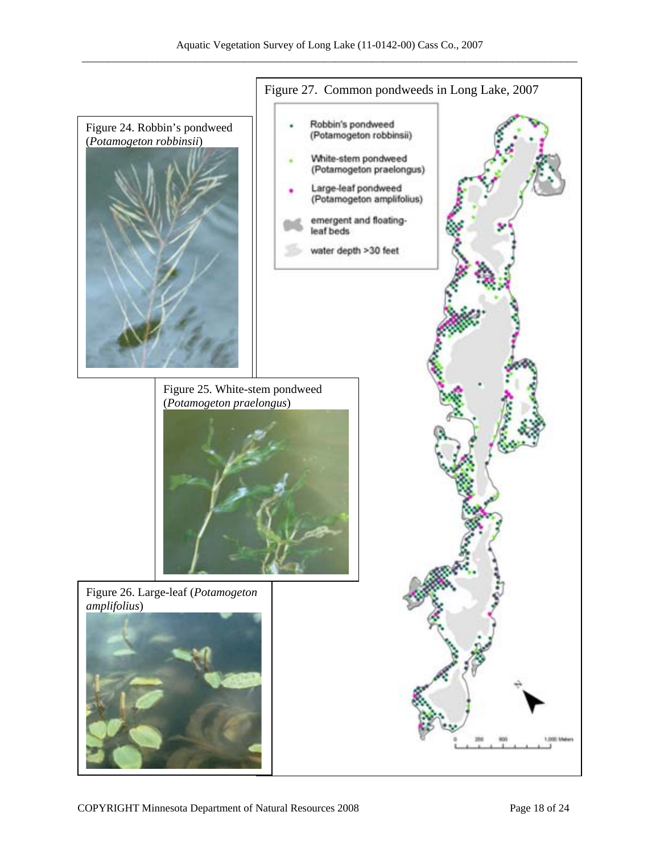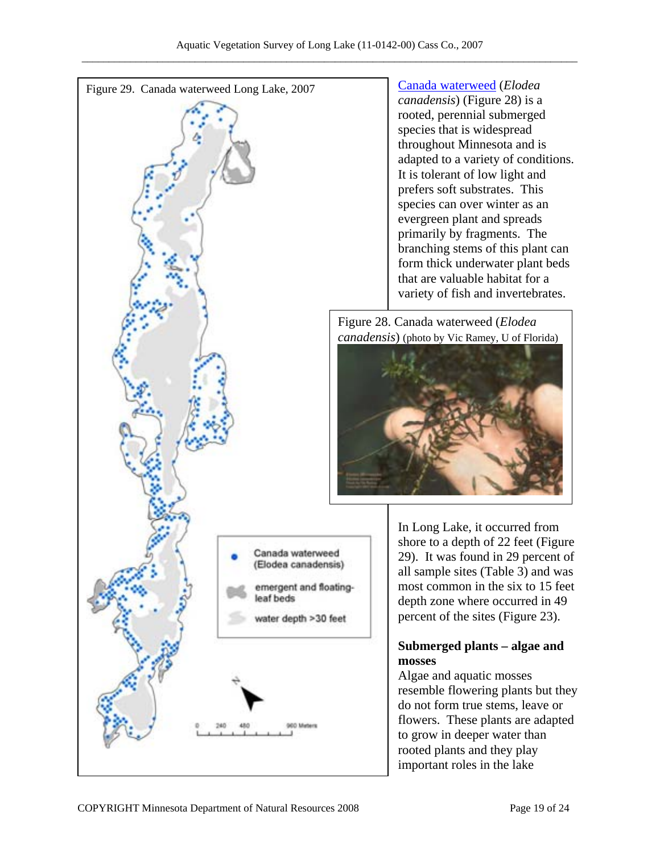

*canadensis*) (Figure 28) is a rooted, perennial submerged species that is widespread throughout Minnesota and is adapted to a variety of conditions. It is tolerant of low light and prefers soft substrates. This species can over winter as an evergreen plant and spreads primarily by fragments. The branching stems of this plant can form thick underwater plant beds that are valuable habitat for a variety of fish and invertebrates.

Figure 28. Canada waterweed (*Elodea canadensis*) (photo by Vic Ramey, U of Florida)



In Long Lake, it occurred from shore to a depth of 22 feet (Figure 29). It was found in 29 percent of all sample sites (Table 3) and was most common in the six to 15 feet depth zone where occurred in 49 percent of the sites (Figure 23).

# **Submerged plants – algae and**

Algae and aquatic mosses resemble flowering plants but they do not form true stems, leave or flowers. These plants are adapted to grow in deeper water than rooted plants and they play important roles in the lake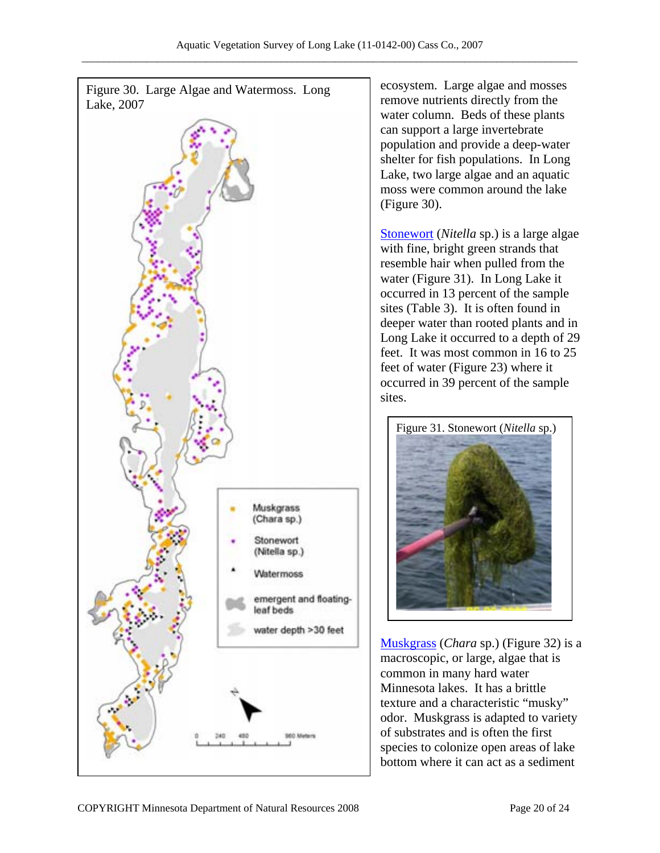

ecosystem. Large algae and mosses remove nutrients directly from the water column. Beds of these plants can support a large invertebrate population and provide a deep-water shelter for fish populations. In Long Lake, two large algae and an aquatic moss were common around the lake (Figure 30).

Stonewort (*Nitella* sp.) is a large algae with fine, bright green strands that resemble hair when pulled from the water (Figure 31). In Long Lake it occurred in 13 percent of the sample sites (Table 3). It is often found in deeper water than rooted plants and in Long Lake it occurred to a depth of 29 feet. It was most common in 16 to 25 feet of water (Figure 23) where it occurred in 39 percent of the sample sites.



**Muskgrass** (*Chara* sp.) (Figure 32) is a macroscopic, or large, algae that is common in many hard water Minnesota lakes. It has a brittle texture and a characteristic "musky" odor. Muskgrass is adapted to variety of substrates and is often the first species to colonize open areas of lake bottom where it can act as a sediment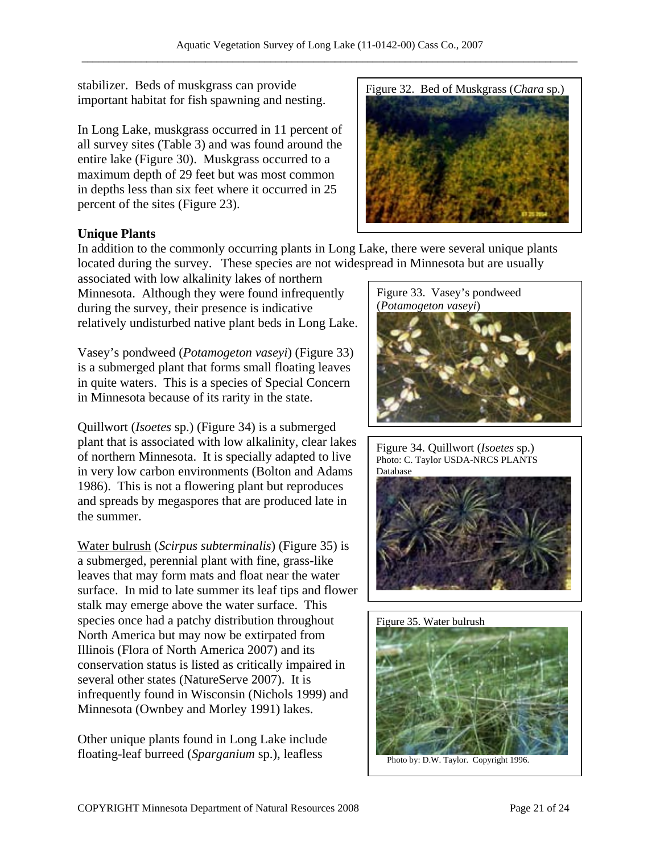stabilizer. Beds of muskgrass can provide important habitat for fish spawning and nesting.

In Long Lake, muskgrass occurred in 11 percent of all survey sites (Table 3) and was found around the entire lake (Figure 30). Muskgrass occurred to a maximum depth of 29 feet but was most common in depths less than six feet where it occurred in 25 percent of the sites (Figure 23).



### **Unique Plants**

In addition to the commonly occurring plants in Long Lake, there were several unique plants located during the survey. These species are not widespread in Minnesota but are usually

associated with low alkalinity lakes of northern Minnesota. Although they were found infrequently during the survey, their presence is indicative relatively undisturbed native plant beds in Long Lake.

Vasey's pondweed (*Potamogeton vaseyi*) (Figure 33) is a submerged plant that forms small floating leaves in quite waters. This is a species of Special Concern in Minnesota because of its rarity in the state.

Quillwort (*Isoetes* sp.) (Figure 34) is a submerged plant that is associated with low alkalinity, clear lakes of northern Minnesota. It is specially adapted to live in very low carbon environments (Bolton and Adams 1986). This is not a flowering plant but reproduces and spreads by megaspores that are produced late in the summer.

Water bulrush (*Scirpus subterminalis*) (Figure 35) is a submerged, perennial plant with fine, grass-like leaves that may form mats and float near the water surface. In mid to late summer its leaf tips and flower stalk may emerge above the water surface. This species once had a patchy distribution throughout North America but may now be extirpated from Illinois (Flora of North America 2007) and its conservation status is listed as critically impaired in several other states (NatureServe 2007). It is infrequently found in Wisconsin (Nichols 1999) and Minnesota (Ownbey and Morley 1991) lakes.

Other unique plants found in Long Lake include floating-leaf burreed (*Sparganium* sp.), leafless



Figure 34. Quillwort (*Isoetes* sp.) Photo: C. Taylor USDA-NRCS PLANTS Database





Photo by: D.W. Taylor. Copyright 1996.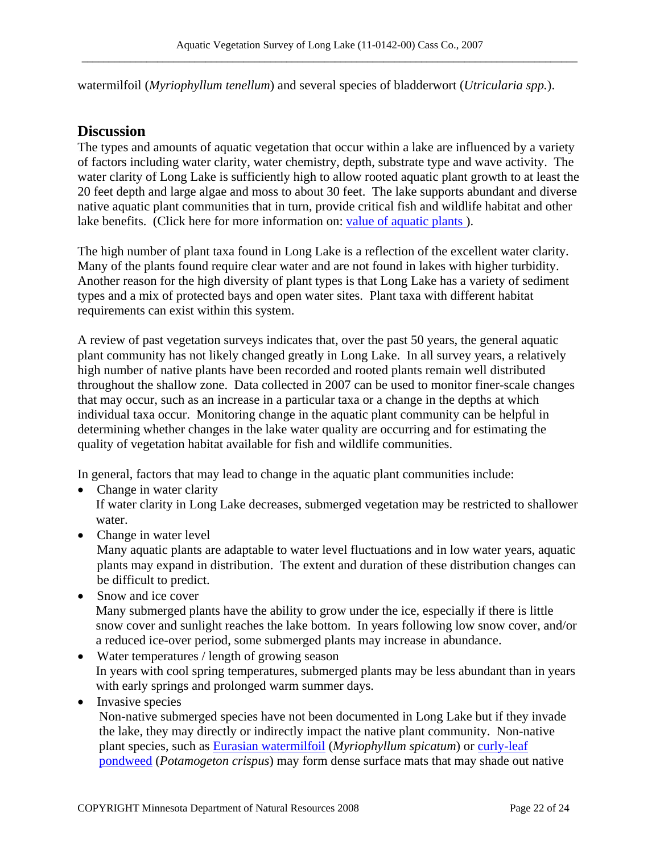watermilfoil (*Myriophyllum tenellum*) and several species of bladderwort (*Utricularia spp.*).

### **Discussion**

The types and amounts of aquatic vegetation that occur within a lake are influenced by a variety of factors including water clarity, water chemistry, depth, substrate type and wave activity. The water clarity of Long Lake is sufficiently high to allow rooted aquatic plant growth to at least the 20 feet depth and large algae and moss to about 30 feet. The lake supports abundant and diverse native aquatic plant communities that in turn, provide critical fish and wildlife habitat and other lake benefits. (Click here for more information on: value of aquatic plants).

The high number of plant taxa found in Long Lake is a reflection of the excellent water clarity. Many of the plants found require clear water and are not found in lakes with higher turbidity. Another reason for the high diversity of plant types is that Long Lake has a variety of sediment types and a mix of protected bays and open water sites. Plant taxa with different habitat requirements can exist within this system.

A review of past vegetation surveys indicates that, over the past 50 years, the general aquatic plant community has not likely changed greatly in Long Lake. In all survey years, a relatively high number of native plants have been recorded and rooted plants remain well distributed throughout the shallow zone. Data collected in 2007 can be used to monitor finer-scale changes that may occur, such as an increase in a particular taxa or a change in the depths at which individual taxa occur. Monitoring change in the aquatic plant community can be helpful in determining whether changes in the lake water quality are occurring and for estimating the quality of vegetation habitat available for fish and wildlife communities.

In general, factors that may lead to change in the aquatic plant communities include:

- Change in water clarity If water clarity in Long Lake decreases, submerged vegetation may be restricted to shallower water.
- Change in water level
	- Many aquatic plants are adaptable to water level fluctuations and in low water years, aquatic plants may expand in distribution. The extent and duration of these distribution changes can be difficult to predict.
- Snow and ice cover Many submerged plants have the ability to grow under the ice, especially if there is little snow cover and sunlight reaches the lake bottom. In years following low snow cover, and/or a reduced ice-over period, some submerged plants may increase in abundance.
- Water temperatures / length of growing season In years with cool spring temperatures, submerged plants may be less abundant than in years with early springs and prolonged warm summer days.
- Invasive species

Non-native submerged species have not been documented in Long Lake but if they invade the lake, they may directly or indirectly impact the native plant community. Non-native plant species, such as **Eurasian watermilfoil** (*Myriophyllum spicatum*) or curly-leaf pondweed (*Potamogeton crispus*) may form dense surface mats that may shade out native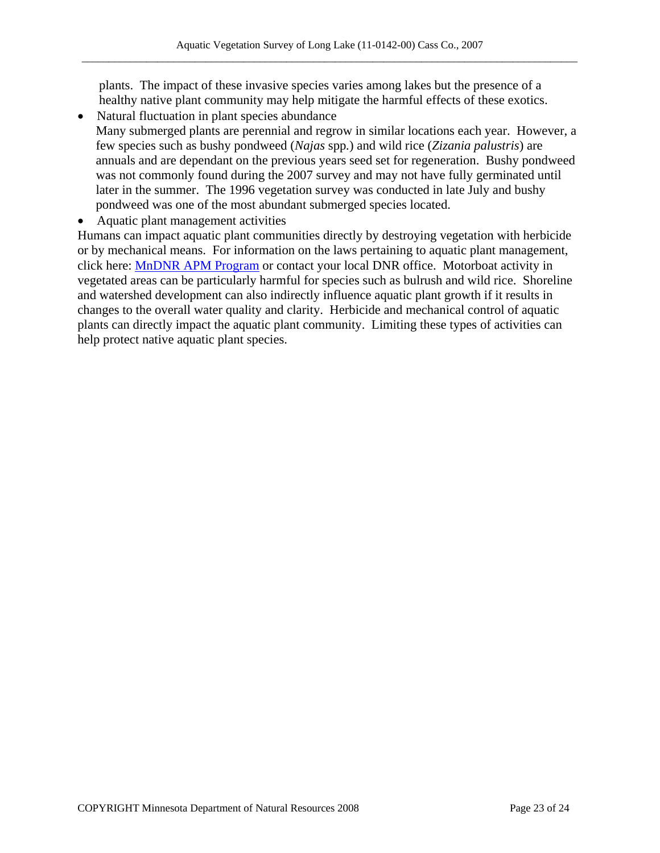plants. The impact of these invasive species varies among lakes but the presence of a healthy native plant community may help mitigate the harmful effects of these exotics.

- Natural fluctuation in plant species abundance Many submerged plants are perennial and regrow in similar locations each year. However, a few species such as bushy pondweed (*Najas* spp*.*) and wild rice (*Zizania palustris*) are annuals and are dependant on the previous years seed set for regeneration. Bushy pondweed was not commonly found during the 2007 survey and may not have fully germinated until later in the summer. The 1996 vegetation survey was conducted in late July and bushy pondweed was one of the most abundant submerged species located.
- Aquatic plant management activities

Humans can impact aquatic plant communities directly by destroying vegetation with herbicide or by mechanical means. For information on the laws pertaining to aquatic plant management, click here: MnDNR APM Program or contact your local DNR office. Motorboat activity in vegetated areas can be particularly harmful for species such as bulrush and wild rice. Shoreline and watershed development can also indirectly influence aquatic plant growth if it results in changes to the overall water quality and clarity. Herbicide and mechanical control of aquatic plants can directly impact the aquatic plant community. Limiting these types of activities can help protect native aquatic plant species.